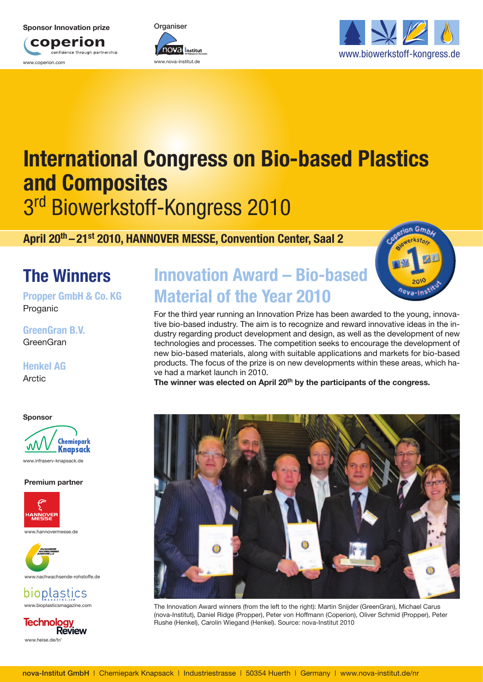#### **Sponsor Innovation prize**







# **International Congress on Bio-based Plastics and Composites** 3rd Biowerkstoff-Kongress 2010

**April 20th – 21st 2010, HANNOVER MESSE, Convention Center, Saal 2**

# **The Winners**

**Propper GmbH & Co. KG** Proganic

**GreenGran B.V.** GreenGran

### **Henkel AG Arctic**

**Sponsor**



**Premium partner**





bioplastics www.bioplasticsmagazine.com



# **Innovation Award – Bio-based Material of the Year 2010**

For the third year running an Innovation Prize has been awarded to the young, innovative bio-based industry. The aim is to recognize and reward innovative ideas in the industry regarding product development and design, as well as the development of new technologies and processes. The competition seeks to encourage the development of new bio-based materials, along with suitable applications and markets for bio-based products. The focus of the prize is on new developments within these areas, which have had a market launch in 2010.

**The winner was elected on April 20th by the participants of the congress.**



The Innovation Award winners (from the left to the right): Martin Snijder (GreenGran), Michael Carus (nova-Institut), Daniel Ridge (Propper), Peter von Hoffmann (Coperion), Oliver Schmid (Propper), Peter Rushe (Henkel), Carolin Wiegand (Henkel). Source: nova-Institut 2010